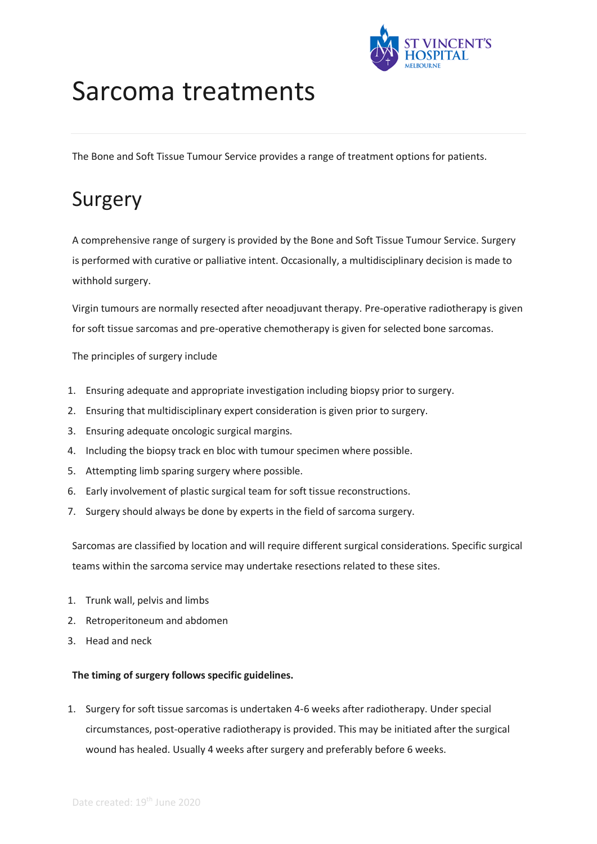

# Sarcoma treatments

The Bone and Soft Tissue Tumour Service provides a range of treatment options for patients.

### Surgery

A comprehensive range of surgery is provided by the Bone and Soft Tissue Tumour Service. Surgery is performed with curative or palliative intent. Occasionally, a multidisciplinary decision is made to withhold surgery.

Virgin tumours are normally resected after neoadjuvant therapy. Pre-operative radiotherapy is given for soft tissue sarcomas and pre-operative chemotherapy is given for selected bone sarcomas.

The principles of surgery include

- 1. Ensuring adequate and appropriate investigation including biopsy prior to surgery.
- 2. Ensuring that multidisciplinary expert consideration is given prior to surgery.
- 3. Ensuring adequate oncologic surgical margins.
- 4. Including the biopsy track en bloc with tumour specimen where possible.
- 5. Attempting limb sparing surgery where possible.
- 6. Early involvement of plastic surgical team for soft tissue reconstructions.
- 7. Surgery should always be done by experts in the field of sarcoma surgery.

Sarcomas are classified by location and will require different surgical considerations. Specific surgical teams within the sarcoma service may undertake resections related to these sites.

- 1. Trunk wall, pelvis and limbs
- 2. Retroperitoneum and abdomen
- 3. Head and neck

#### **The timing of surgery follows specific guidelines.**

1. Surgery for soft tissue sarcomas is undertaken 4-6 weeks after radiotherapy. Under special circumstances, post-operative radiotherapy is provided. This may be initiated after the surgical wound has healed. Usually 4 weeks after surgery and preferably before 6 weeks.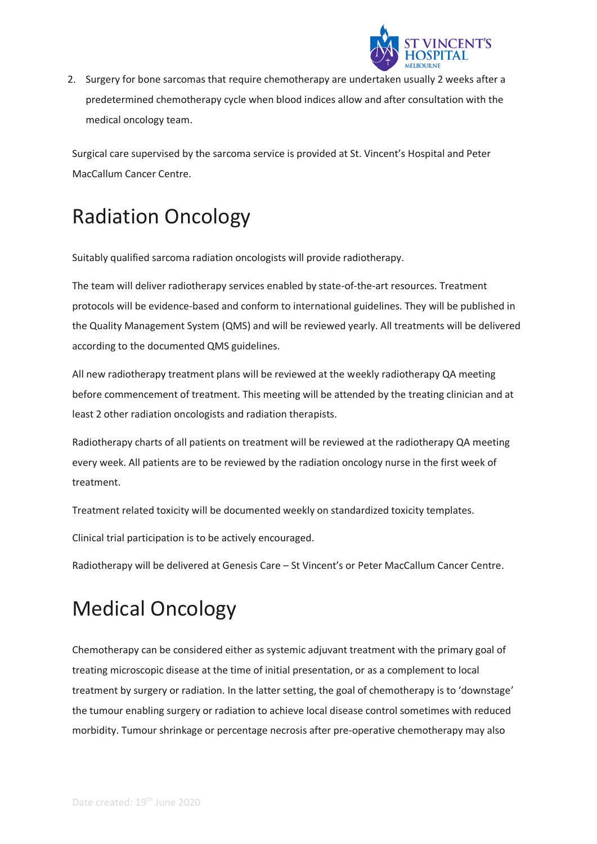

2. Surgery for bone sarcomas that require chemotherapy are undertaken usually 2 weeks after a predetermined chemotherapy cycle when blood indices allow and after consultation with the medical oncology team.

Surgical care supervised by the sarcoma service is provided at St. Vincent's Hospital and Peter MacCallum Cancer Centre.

### Radiation Oncology

Suitably qualified sarcoma radiation oncologists will provide radiotherapy.

The team will deliver radiotherapy services enabled by state-of-the-art resources. Treatment protocols will be evidence-based and conform to international guidelines. They will be published in the Quality Management System (QMS) and will be reviewed yearly. All treatments will be delivered according to the documented QMS guidelines.

All new radiotherapy treatment plans will be reviewed at the weekly radiotherapy QA meeting before commencement of treatment. This meeting will be attended by the treating clinician and at least 2 other radiation oncologists and radiation therapists.

Radiotherapy charts of all patients on treatment will be reviewed at the radiotherapy QA meeting every week. All patients are to be reviewed by the radiation oncology nurse in the first week of treatment.

Treatment related toxicity will be documented weekly on standardized toxicity templates.

Clinical trial participation is to be actively encouraged.

Radiotherapy will be delivered at Genesis Care – St Vincent's or Peter MacCallum Cancer Centre.

## Medical Oncology

Chemotherapy can be considered either as systemic adjuvant treatment with the primary goal of treating microscopic disease at the time of initial presentation, or as a complement to local treatment by surgery or radiation. In the latter setting, the goal of chemotherapy is to 'downstage' the tumour enabling surgery or radiation to achieve local disease control sometimes with reduced morbidity. Tumour shrinkage or percentage necrosis after pre-operative chemotherapy may also